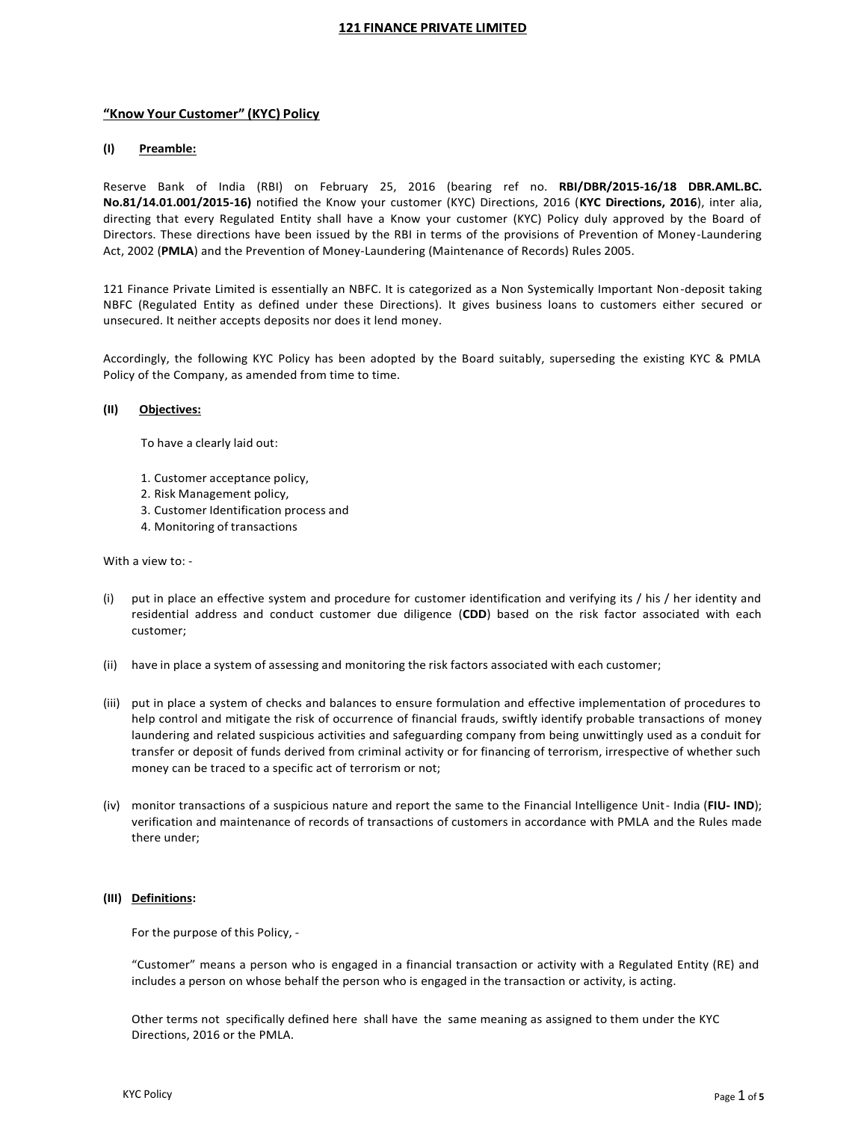# **"Know Your Customer" (KYC) Policy**

# **(I) Preamble:**

Reserve Bank of India (RBI) on February 25, 2016 (bearing ref no. **RBI/DBR/2015-16/18 DBR.AML.BC. No.81/14.01.001/2015-16)** notified the Know your customer (KYC) Directions, 2016 (**KYC Directions, 2016**), inter alia, directing that every Regulated Entity shall have a Know your customer (KYC) Policy duly approved by the Board of Directors. These directions have been issued by the RBI in terms of the provisions of Prevention of Money-Laundering Act, 2002 (**PMLA**) and the Prevention of Money-Laundering (Maintenance of Records) Rules 2005.

121 Finance Private Limited is essentially an NBFC. It is categorized as a Non Systemically Important Non-deposit taking NBFC (Regulated Entity as defined under these Directions). It gives business loans to customers either secured or unsecured. It neither accepts deposits nor does it lend money.

Accordingly, the following KYC Policy has been adopted by the Board suitably, superseding the existing KYC & PMLA Policy of the Company, as amended from time to time.

### **(II) Objectives:**

To have a clearly laid out:

- 1. Customer acceptance policy,
- 2. Risk Management policy,
- 3. Customer Identification process and
- 4. Monitoring of transactions

#### With a view to: -

- (i) put in place an effective system and procedure for customer identification and verifying its / his / her identity and residential address and conduct customer due diligence (**CDD**) based on the risk factor associated with each customer;
- (ii) have in place a system of assessing and monitoring the risk factors associated with each customer;
- (iii) put in place a system of checks and balances to ensure formulation and effective implementation of procedures to help control and mitigate the risk of occurrence of financial frauds, swiftly identify probable transactions of money laundering and related suspicious activities and safeguarding company from being unwittingly used as a conduit for transfer or deposit of funds derived from criminal activity or for financing of terrorism, irrespective of whether such money can be traced to a specific act of terrorism or not;
- (iv) monitor transactions of a suspicious nature and report the same to the Financial Intelligence Unit- India (**FIU- IND**); verification and maintenance of records of transactions of customers in accordance with PMLA and the Rules made there under;

### **(III) Definitions:**

For the purpose of this Policy, -

"Customer" means a person who is engaged in a financial transaction or activity with a Regulated Entity (RE) and includes a person on whose behalf the person who is engaged in the transaction or activity, is acting.

Other terms not specifically defined here shall have the same meaning as assigned to them under the KYC Directions, 2016 or the PMLA.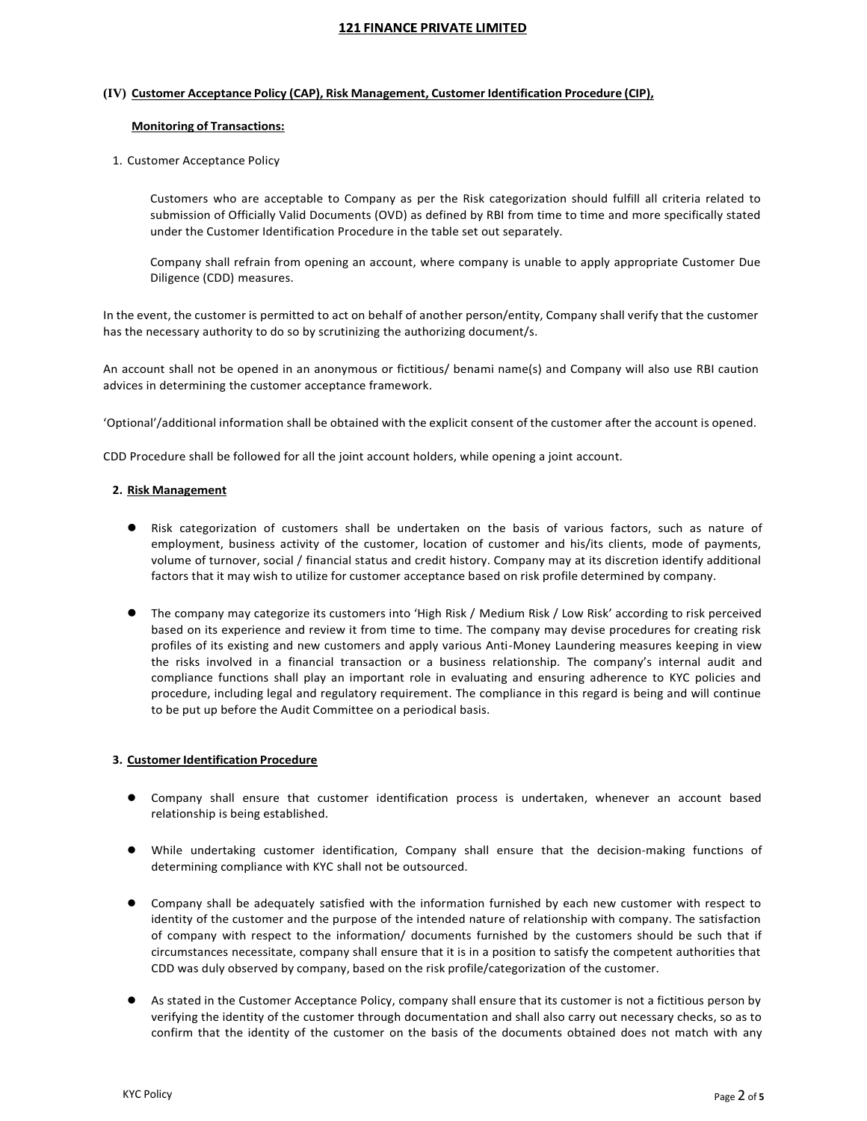## **(IV) Customer Acceptance Policy (CAP), Risk Management, Customer Identification Procedure (CIP),**

## **Monitoring of Transactions:**

# 1. Customer Acceptance Policy

Customers who are acceptable to Company as per the Risk categorization should fulfill all criteria related to submission of Officially Valid Documents (OVD) as defined by RBI from time to time and more specifically stated under the Customer Identification Procedure in the table set out separately.

Company shall refrain from opening an account, where company is unable to apply appropriate Customer Due Diligence (CDD) measures.

In the event, the customer is permitted to act on behalf of another person/entity, Company shall verify that the customer has the necessary authority to do so by scrutinizing the authorizing document/s.

An account shall not be opened in an anonymous or fictitious/ benami name(s) and Company will also use RBI caution advices in determining the customer acceptance framework.

'Optional'/additional information shall be obtained with the explicit consent of the customer after the account is opened.

CDD Procedure shall be followed for all the joint account holders, while opening a joint account.

## **2. Risk Management**

- Risk categorization of customers shall be undertaken on the basis of various factors, such as nature of employment, business activity of the customer, location of customer and his/its clients, mode of payments, volume of turnover, social / financial status and credit history. Company may at its discretion identify additional factors that it may wish to utilize for customer acceptance based on risk profile determined by company.
- The company may categorize its customers into 'High Risk / Medium Risk / Low Risk' according to risk perceived based on its experience and review it from time to time. The company may devise procedures for creating risk profiles of its existing and new customers and apply various Anti-Money Laundering measures keeping in view the risks involved in a financial transaction or a business relationship. The company's internal audit and compliance functions shall play an important role in evaluating and ensuring adherence to KYC policies and procedure, including legal and regulatory requirement. The compliance in this regard is being and will continue to be put up before the Audit Committee on a periodical basis.

# **3. Customer Identification Procedure**

- Company shall ensure that customer identification process is undertaken, whenever an account based relationship is being established.
- While undertaking customer identification, Company shall ensure that the decision-making functions of determining compliance with KYC shall not be outsourced.
- Company shall be adequately satisfied with the information furnished by each new customer with respect to identity of the customer and the purpose of the intended nature of relationship with company. The satisfaction of company with respect to the information/ documents furnished by the customers should be such that if circumstances necessitate, company shall ensure that it is in a position to satisfy the competent authorities that CDD was duly observed by company, based on the risk profile/categorization of the customer.
- As stated in the Customer Acceptance Policy, company shall ensure that its customer is not a fictitious person by verifying the identity of the customer through documentation and shall also carry out necessary checks, so as to confirm that the identity of the customer on the basis of the documents obtained does not match with any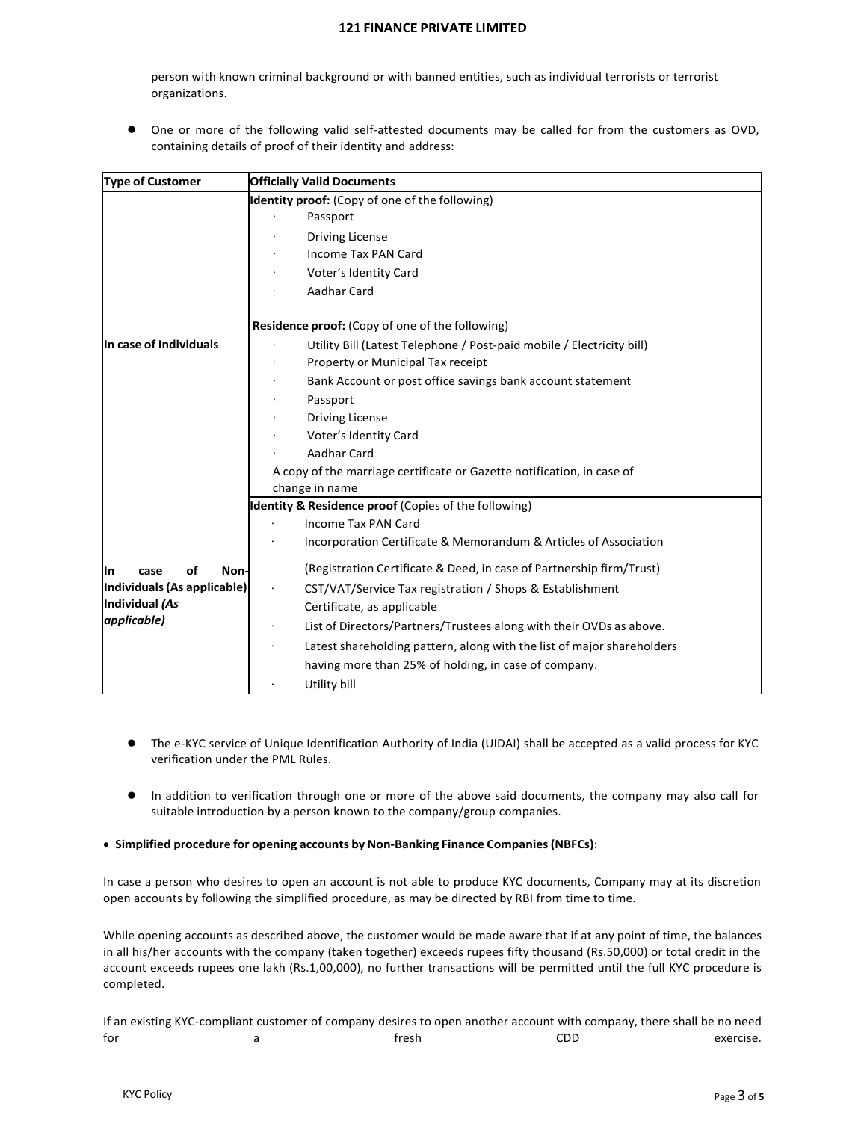person with known criminal background or with banned entities, such as individual terrorists or terrorist organizations.

 One or more of the following valid self-attested documents may be called for from the customers as OVD, containing details of proof of their identity and address:

| <b>Type of Customer</b>          | <b>Officially Valid Documents</b>                                      |
|----------------------------------|------------------------------------------------------------------------|
|                                  | Identity proof: (Copy of one of the following)                         |
|                                  | Passport                                                               |
|                                  | <b>Driving License</b>                                                 |
|                                  | Income Tax PAN Card                                                    |
|                                  | Voter's Identity Card                                                  |
|                                  | Aadhar Card                                                            |
|                                  | <b>Residence proof:</b> (Copy of one of the following)                 |
| In case of Individuals           | Utility Bill (Latest Telephone / Post-paid mobile / Electricity bill)  |
|                                  | Property or Municipal Tax receipt                                      |
|                                  | Bank Account or post office savings bank account statement             |
|                                  | Passport                                                               |
|                                  | <b>Driving License</b>                                                 |
|                                  | Voter's Identity Card                                                  |
|                                  | Aadhar Card                                                            |
|                                  | A copy of the marriage certificate or Gazette notification, in case of |
|                                  | change in name                                                         |
|                                  | Identity & Residence proof (Copies of the following)                   |
|                                  | <b>Income Tax PAN Card</b>                                             |
|                                  | Incorporation Certificate & Memorandum & Articles of Association       |
| <b>Non-</b><br>οf<br>lln<br>case | (Registration Certificate & Deed, in case of Partnership firm/Trust)   |
| Individuals (As applicable)      | CST/VAT/Service Tax registration / Shops & Establishment               |
| Individual (As                   | Certificate, as applicable                                             |
| applicable)                      | List of Directors/Partners/Trustees along with their OVDs as above.    |
|                                  | Latest shareholding pattern, along with the list of major shareholders |
|                                  | having more than 25% of holding, in case of company.                   |
|                                  | Utility bill                                                           |

- The e-KYC service of Unique Identification Authority of India (UIDAI) shall be accepted as a valid process for KYC verification under the PML Rules.
- In addition to verification through one or more of the above said documents, the company may also call for suitable introduction by a person known to the company/group companies.

# **Simplified procedure for opening accounts by Non-Banking Finance Companies(NBFCs)**:

In case a person who desires to open an account is not able to produce KYC documents, Company may at its discretion open accounts by following the simplified procedure, as may be directed by RBI from time to time.

While opening accounts as described above, the customer would be made aware that if at any point of time, the balances in all his/her accounts with the company (taken together) exceeds rupees fifty thousand (Rs.50,000) or total credit in the account exceeds rupees one lakh (Rs.1,00,000), no further transactions will be permitted until the full KYC procedure is completed.

If an existing KYC-compliant customer of company desires to open another account with company, there shall be no need for the contract of the set of the fresh contract  $\mathsf{CDD}$  exercise.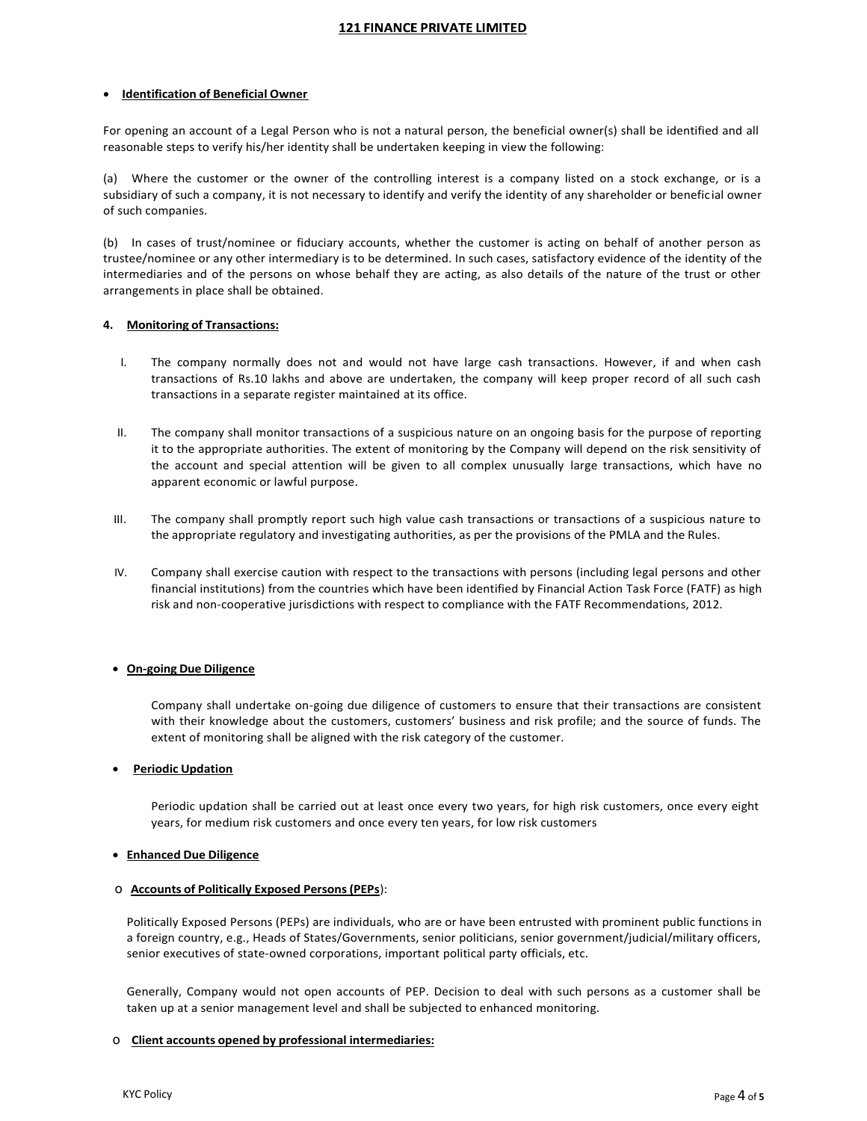## **Identification of Beneficial Owner**

For opening an account of a Legal Person who is not a natural person, the beneficial owner(s) shall be identified and all reasonable steps to verify his/her identity shall be undertaken keeping in view the following:

(a) Where the customer or the owner of the controlling interest is a company listed on a stock exchange, or is a subsidiary of such a company, it is not necessary to identify and verify the identity of any shareholder or beneficial owner of such companies.

(b) In cases of trust/nominee or fiduciary accounts, whether the customer is acting on behalf of another person as trustee/nominee or any other intermediary is to be determined. In such cases, satisfactory evidence of the identity of the intermediaries and of the persons on whose behalf they are acting, as also details of the nature of the trust or other arrangements in place shall be obtained.

## **4. Monitoring of Transactions:**

- I. The company normally does not and would not have large cash transactions. However, if and when cash transactions of Rs.10 lakhs and above are undertaken, the company will keep proper record of all such cash transactions in a separate register maintained at its office.
- II. The company shall monitor transactions of a suspicious nature on an ongoing basis for the purpose of reporting it to the appropriate authorities. The extent of monitoring by the Company will depend on the risk sensitivity of the account and special attention will be given to all complex unusually large transactions, which have no apparent economic or lawful purpose.
- III. The company shall promptly report such high value cash transactions or transactions of a suspicious nature to the appropriate regulatory and investigating authorities, as per the provisions of the PMLA and the Rules.
- IV. Company shall exercise caution with respect to the transactions with persons (including legal persons and other financial institutions) from the countries which have been identified by Financial Action Task Force (FATF) as high risk and non-cooperative jurisdictions with respect to compliance with the FATF Recommendations, 2012.

# **On-going Due Diligence**

Company shall undertake on-going due diligence of customers to ensure that their transactions are consistent with their knowledge about the customers, customers' business and risk profile; and the source of funds. The extent of monitoring shall be aligned with the risk category of the customer.

### **Periodic Updation**

Periodic updation shall be carried out at least once every two years, for high risk customers, once every eight years, for medium risk customers and once every ten years, for low risk customers

### **Enhanced Due Diligence**

### o **Accounts of Politically Exposed Persons(PEPs**):

Politically Exposed Persons (PEPs) are individuals, who are or have been entrusted with prominent public functions in a foreign country, e.g., Heads of States/Governments, senior politicians, senior government/judicial/military officers, senior executives of state-owned corporations, important political party officials, etc.

Generally, Company would not open accounts of PEP. Decision to deal with such persons as a customer shall be taken up at a senior management level and shall be subjected to enhanced monitoring.

### o **Client accounts opened by professional intermediaries:**